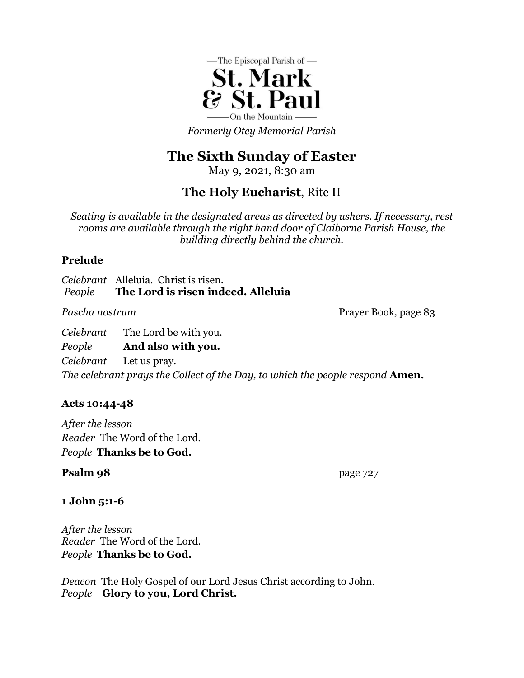

*Formerly Otey Memorial Parish*

# **The Sixth Sunday of Easter**

May 9, 2021, 8:30 am

## **The Holy Eucharist**, Rite II

*Seating is available in the designated areas as directed by ushers. If necessary, rest rooms are available through the right hand door of Claiborne Parish House, the building directly behind the church.*

### **Prelude**

*Celebrant* Alleluia. Christ is risen. *People* **The Lord is risen indeed. Alleluia**

*Pascha nostrum* Prayer Book, page 83

*Celebrant* The Lord be with you. *People* **And also with you.** *Celebrant* Let us pray. *The celebrant prays the Collect of the Day, to which the people respond* **Amen.**

## **Acts 10:44-48**

*After the lesson Reader* The Word of the Lord. *People* **Thanks be to God.**

## **Psalm 98** page 727

## **1 John 5:1-6**

*After the lesson Reader* The Word of the Lord. *People* **Thanks be to God.**

*Deacon* The Holy Gospel of our Lord Jesus Christ according to John. *People* **Glory to you, Lord Christ.**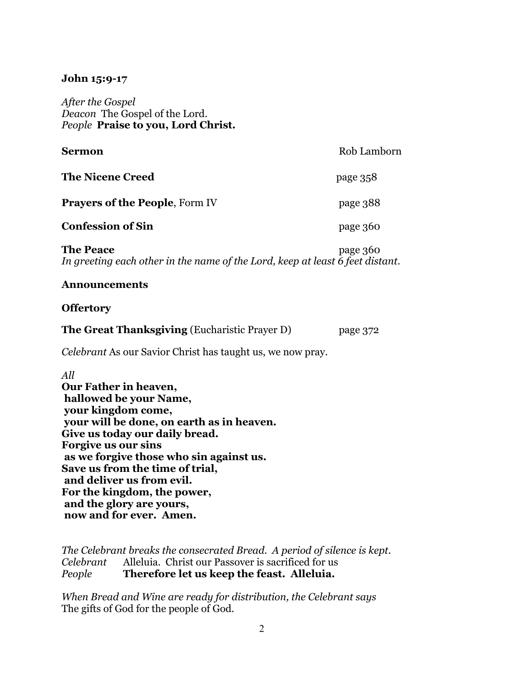#### **John 15:9-17**

*After the Gospel Deacon* The Gospel of the Lord. *People* **Praise to you, Lord Christ.**

| Sermon                                | Rob Lamborn |
|---------------------------------------|-------------|
| <b>The Nicene Creed</b>               | page 358    |
| <b>Prayers of the People, Form IV</b> | page 388    |
| <b>Confession of Sin</b>              | page 360    |
|                                       |             |

**The Peace** page 360 *In greeting each other in the name of the Lord, keep at least 6 feet distant.*

#### **Announcements**

#### **Offertory**

| <b>The Great Thanksgiving (Eucharistic Prayer D)</b> | page 372 |
|------------------------------------------------------|----------|
|                                                      |          |

*Celebrant* As our Savior Christ has taught us, we now pray.

*All*

**Our Father in heaven, hallowed be your Name, your kingdom come, your will be done, on earth as in heaven. Give us today our daily bread. Forgive us our sins as we forgive those who sin against us. Save us from the time of trial, and deliver us from evil. For the kingdom, the power, and the glory are yours, now and for ever. Amen.**

*The Celebrant breaks the consecrated Bread. A period of silence is kept. Celebrant* Alleluia. Christ our Passover is sacrificed for us *People* **Therefore let us keep the feast. Alleluia.**

*When Bread and Wine are ready for distribution, the Celebrant says* The gifts of God for the people of God.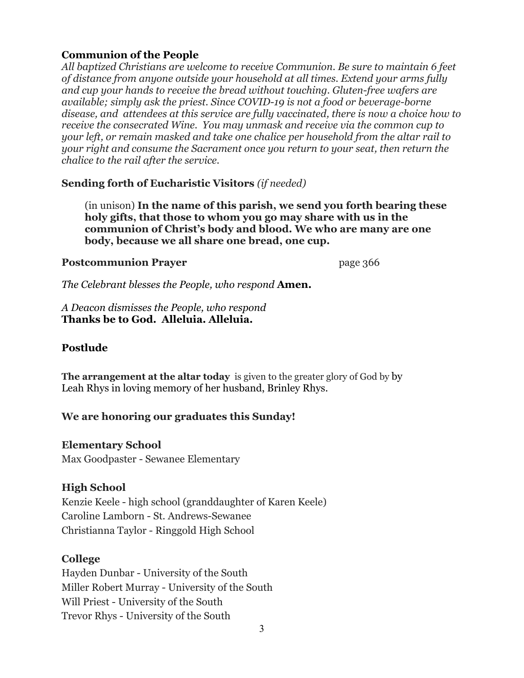#### **Communion of the People**

*All baptized Christians are welcome to receive Communion. Be sure to maintain 6 feet of distance from anyone outside your household at all times. Extend your arms fully and cup your hands to receive the bread without touching. Gluten-free wafers are available; simply ask the priest. Since COVID-19 is not a food or beverage-borne disease, and attendees at this service are fully vaccinated, there is now a choice how to receive the consecrated Wine. You may unmask and receive via the common cup to your left, or remain masked and take one chalice per household from the altar rail to your right and consume the Sacrament once you return to your seat, then return the chalice to the rail after the service.*

#### **Sending forth of Eucharistic Visitors** *(if needed)*

(in unison) **In the name of this parish, we send you forth bearing these holy gifts, that those to whom you go may share with us in the communion of Christ's body and blood. We who are many are one body, because we all share one bread, one cup.**

#### **Postcommunion Prayer** page 366

*The Celebrant blesses the People, who respond* **Amen.**

*A Deacon dismisses the People, who respond* **Thanks be to God. Alleluia. Alleluia.**

#### **Postlude**

**The arrangement at the altar today** is given to the greater glory of God by by Leah Rhys in loving memory of her husband, Brinley Rhys.

#### **We are honoring our graduates this Sunday!**

#### **Elementary School**

Max Goodpaster - Sewanee Elementary

#### **High School**

Kenzie Keele - high school (granddaughter of Karen Keele) Caroline Lamborn - St. Andrews-Sewanee Christianna Taylor - Ringgold High School

#### **College**

Hayden Dunbar - University of the South Miller Robert Murray - University of the South Will Priest - University of the South Trevor Rhys - University of the South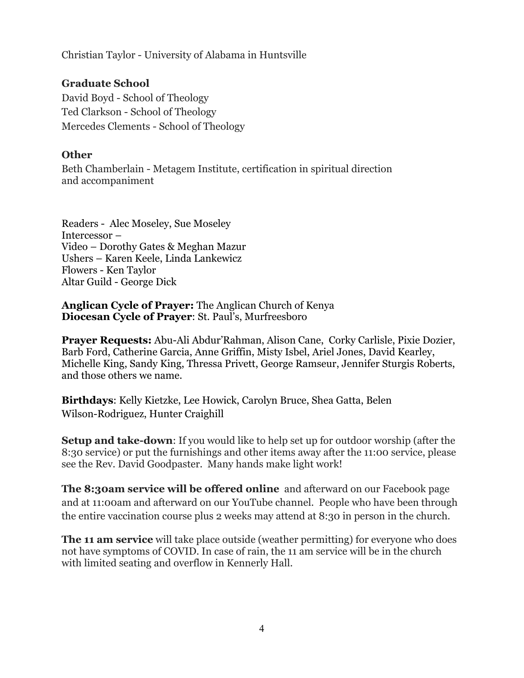Christian Taylor - University of Alabama in Huntsville

#### **Graduate School**

David Boyd - School of Theology Ted Clarkson - School of Theology Mercedes Clements - School of Theology

#### **Other**

Beth Chamberlain - Metagem Institute, certification in spiritual direction and accompaniment

Readers - Alec Moseley, Sue Moseley Intercessor – Video – Dorothy Gates & Meghan Mazur Ushers – Karen Keele, Linda Lankewicz Flowers - Ken Taylor Altar Guild - George Dick

**Anglican Cycle of Prayer:** The Anglican Church of Kenya **Diocesan Cycle of Prayer**: St. Paul's, Murfreesboro

**Prayer Requests:** Abu-Ali Abdur'Rahman, Alison Cane, Corky Carlisle, Pixie Dozier, Barb Ford, Catherine Garcia, Anne Griffin, Misty Isbel, Ariel Jones, David Kearley, Michelle King, Sandy King, Thressa Privett, George Ramseur, Jennifer Sturgis Roberts, and those others we name.

**Birthdays**: Kelly Kietzke, Lee Howick, Carolyn Bruce, Shea Gatta, Belen Wilson-Rodriguez, Hunter Craighill

**Setup and take-down**: If you would like to help set up for outdoor worship (after the 8:30 service) or put the furnishings and other items away after the 11:00 service, please see the Rev. David Goodpaster. Many hands make light work!

**The 8:30am service will be offered online** and afterward on our Facebook page and at 11:00am and afterward on our YouTube channel. People who have been through the entire vaccination course plus 2 weeks may attend at 8:30 in person in the church.

**The 11 am service** will take place outside (weather permitting) for everyone who does not have symptoms of COVID. In case of rain, the 11 am service will be in the church with limited seating and overflow in Kennerly Hall.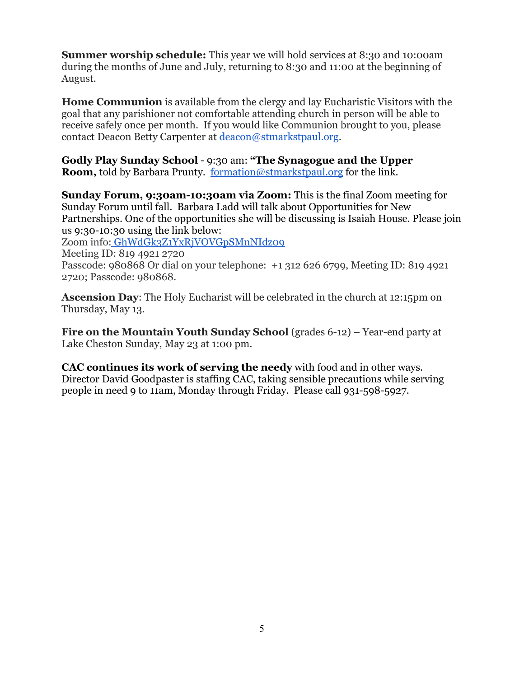**Summer worship schedule:** This year we will hold services at 8:30 and 10:00am during the months of June and July, returning to 8:30 and 11:00 at the beginning of August.

**Home Communion** is available from the clergy and lay Eucharistic Visitors with the goal that any parishioner not comfortable attending church in person will be able to receive safely once per month. If you would like Communion brought to you, please contact Deacon Betty Carpenter at deacon@stmarkstpaul.org.

**Godly Play Sunday School** - 9:30 am: **"The Synagogue and the Upper Room,** told by Barbara Prunty. [formation@stmarkstpaul.org](mailto:formation@stmarkstpaul.org) for the link.

**Sunday Forum, 9:30am-10:30am via Zoom:** This is the final Zoom meeting for Sunday Forum until fall. Barbara Ladd will talk about Opportunities for New Partnerships. One of the opportunities she will be discussing is Isaiah House. Please join us 9:30-10:30 using the link below:

Zoom info: [GhWdGk3Z1YxRjVOVGpSMnNIdz09](https://us02web.zoom.us/j/81949212720?pwd=dE5rbGhWdGk3Z1YxRjVOVGpSMnNIdz09) Meeting ID: 819 4921 2720 Passcode: 980868 Or dial on your telephone: +1 312 626 6799, Meeting ID: 819 4921

2720; Passcode: 980868.

**Ascension Day**: The Holy Eucharist will be celebrated in the church at 12:15pm on Thursday, May 13.

**Fire on the Mountain Youth Sunday School** (grades 6-12) – Year-end party at Lake Cheston Sunday, May 23 at 1:00 pm.

**CAC continues its work of serving the needy** with food and in other ways. Director David Goodpaster is staffing CAC, taking sensible precautions while serving people in need 9 to 11am, Monday through Friday. Please call 931-598-5927.